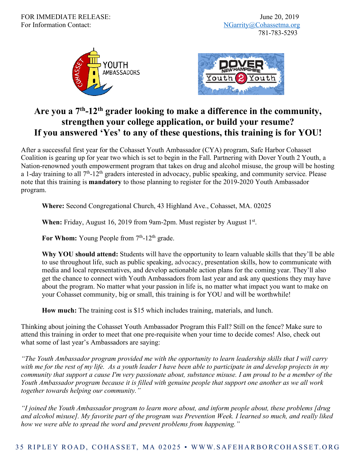



## **Are you a 7th-12th grader looking to make a difference in the community, strengthen your college application, or build your resume? If you answered 'Yes' to any of these questions, this training is for YOU!**

After a successful first year for the Cohasset Youth Ambassador (CYA) program, Safe Harbor Cohasset Coalition is gearing up for year two which is set to begin in the Fall. Partnering with Dover Youth 2 Youth, a Nation-renowned youth empowerment program that takes on drug and alcohol misuse, the group will be hosting a 1-day training to all 7<sup>th</sup>-12<sup>th</sup> graders interested in advocacy, public speaking, and community service. Please note that this training is **mandatory** to those planning to register for the 2019-2020 Youth Ambassador program.

**Where:** Second Congregational Church, 43 Highland Ave., Cohasset, MA. 02025

**When:** Friday, August 16, 2019 from 9am-2pm. Must register by August 1<sup>st</sup>.

For Whom: Young People from 7<sup>th</sup>-12<sup>th</sup> grade.

**Why YOU should attend:** Students will have the opportunity to learn valuable skills that they'll be able to use throughout life, such as public speaking, advocacy, presentation skills, how to communicate with media and local representatives, and develop actionable action plans for the coming year. They'll also get the chance to connect with Youth Ambassadors from last year and ask any questions they may have about the program. No matter what your passion in life is, no matter what impact you want to make on your Cohasset community, big or small, this training is for YOU and will be worthwhile!

**How much:** The training cost is \$15 which includes training, materials, and lunch.

Thinking about joining the Cohasset Youth Ambassador Program this Fall? Still on the fence? Make sure to attend this training in order to meet that one pre-requisite when your time to decide comes! Also, check out what some of last year's Ambassadors are saying:

*"The Youth Ambassador program provided me with the opportunity to learn leadership skills that I will carry with me for the rest of my life. As a youth leader I have been able to participate in and develop projects in my community that support a cause I'm very passionate about, substance misuse. I am proud to be a member of the Youth Ambassador program because it is filled with genuine people that support one another as we all work together towards helping our community."* 

*"I joined the Youth Ambassador program to learn more about, and inform people about, these problems [drug and alcohol misuse]. My favorite part of the program was Prevention Week. I learned so much, and really liked how we were able to spread the word and prevent problems from happening."*